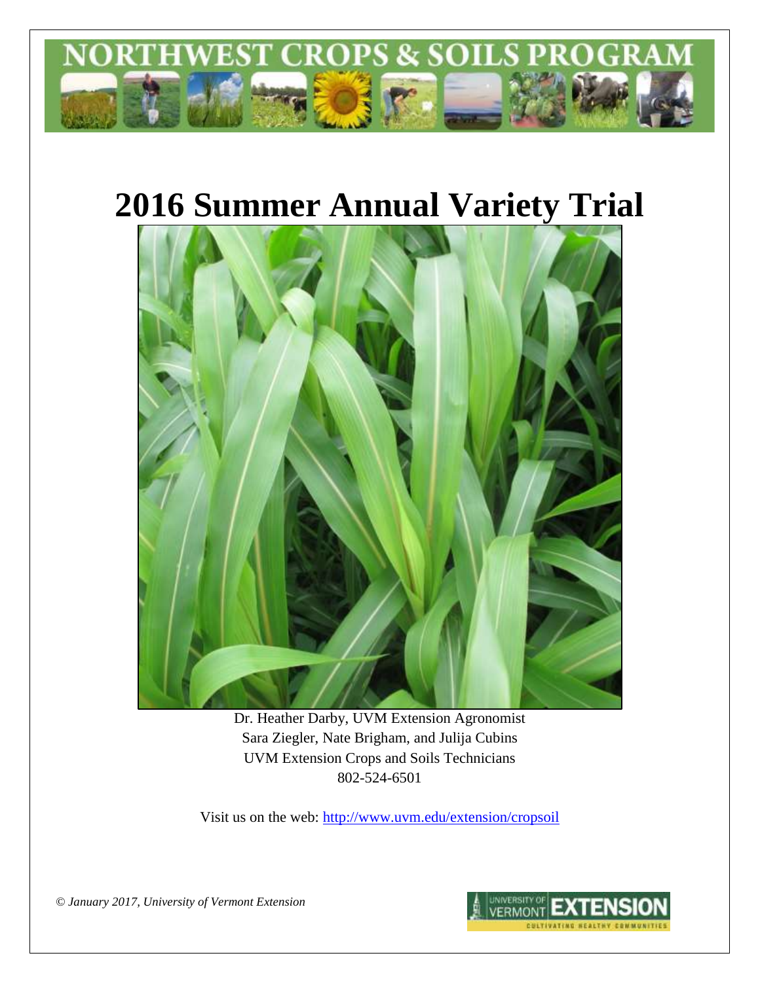

# **2016 Summer Annual Variety Trial**



Dr. Heather Darby, UVM Extension Agronomist Sara Ziegler, Nate Brigham, and Julija Cubins UVM Extension Crops and Soils Technicians 802-524-6501

Visit us on the web: <http://www.uvm.edu/extension/cropsoil>

*© January 2017, University of Vermont Extension*

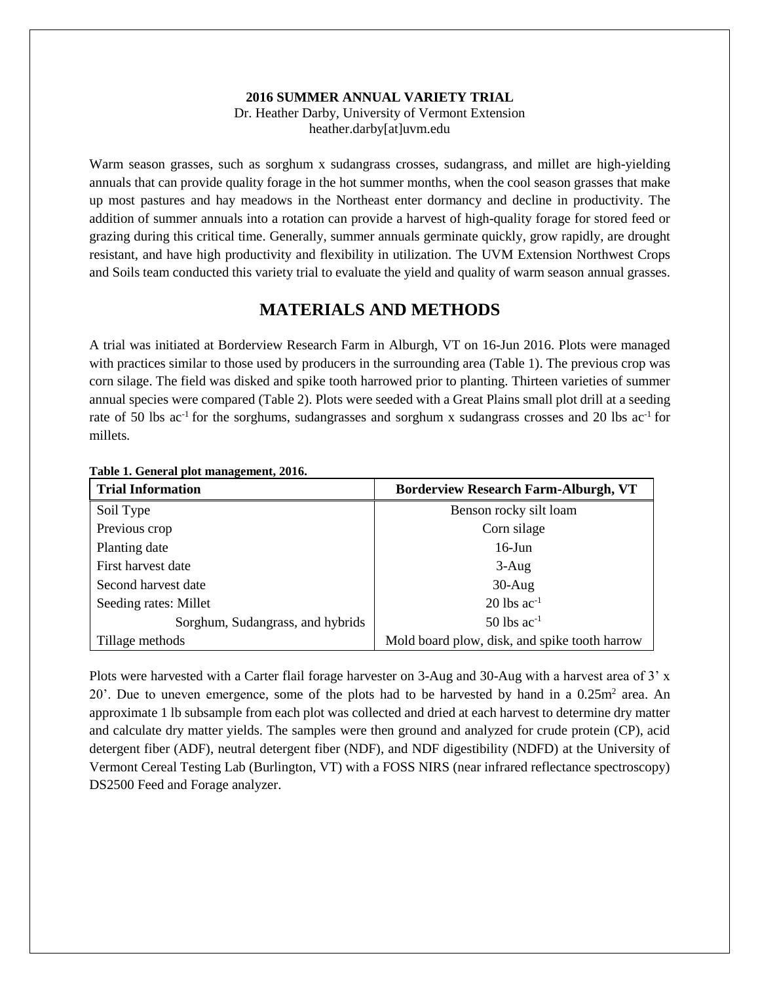## **2016 SUMMER ANNUAL VARIETY TRIAL**

Dr. Heather Darby, University of Vermont Extension heather.darby[at]uvm.edu

Warm season grasses, such as sorghum x sudangrass crosses, sudangrass, and millet are high-yielding annuals that can provide quality forage in the hot summer months, when the cool season grasses that make up most pastures and hay meadows in the Northeast enter dormancy and decline in productivity. The addition of summer annuals into a rotation can provide a harvest of high-quality forage for stored feed or grazing during this critical time. Generally, summer annuals germinate quickly, grow rapidly, are drought resistant, and have high productivity and flexibility in utilization. The UVM Extension Northwest Crops and Soils team conducted this variety trial to evaluate the yield and quality of warm season annual grasses.

## **MATERIALS AND METHODS**

A trial was initiated at Borderview Research Farm in Alburgh, VT on 16-Jun 2016. Plots were managed with practices similar to those used by producers in the surrounding area (Table 1). The previous crop was corn silage. The field was disked and spike tooth harrowed prior to planting. Thirteen varieties of summer annual species were compared (Table 2). Plots were seeded with a Great Plains small plot drill at a seeding rate of 50 lbs ac<sup>-1</sup> for the sorghums, sudangrasses and sorghum x sudangrass crosses and 20 lbs ac<sup>-1</sup> for millets.

| <b>Trial Information</b>         | <b>Borderview Research Farm-Alburgh, VT</b>   |
|----------------------------------|-----------------------------------------------|
| Soil Type                        | Benson rocky silt loam                        |
| Previous crop                    | Corn silage                                   |
| Planting date                    | $16$ -Jun                                     |
| First harvest date               | $3-Aug$                                       |
| Second harvest date              | $30-Aug$                                      |
| Seeding rates: Millet            | $20$ lbs ac <sup>-1</sup>                     |
| Sorghum, Sudangrass, and hybrids | $50$ lbs ac <sup>-1</sup>                     |
| Tillage methods                  | Mold board plow, disk, and spike tooth harrow |

**Table 1. General plot management, 2016.**

Plots were harvested with a Carter flail forage harvester on 3-Aug and 30-Aug with a harvest area of 3' x 20'. Due to uneven emergence, some of the plots had to be harvested by hand in a  $0.25m<sup>2</sup>$  area. An approximate 1 lb subsample from each plot was collected and dried at each harvest to determine dry matter and calculate dry matter yields. The samples were then ground and analyzed for crude protein (CP), acid detergent fiber (ADF), neutral detergent fiber (NDF), and NDF digestibility (NDFD) at the University of Vermont Cereal Testing Lab (Burlington, VT) with a FOSS NIRS (near infrared reflectance spectroscopy) DS2500 Feed and Forage analyzer.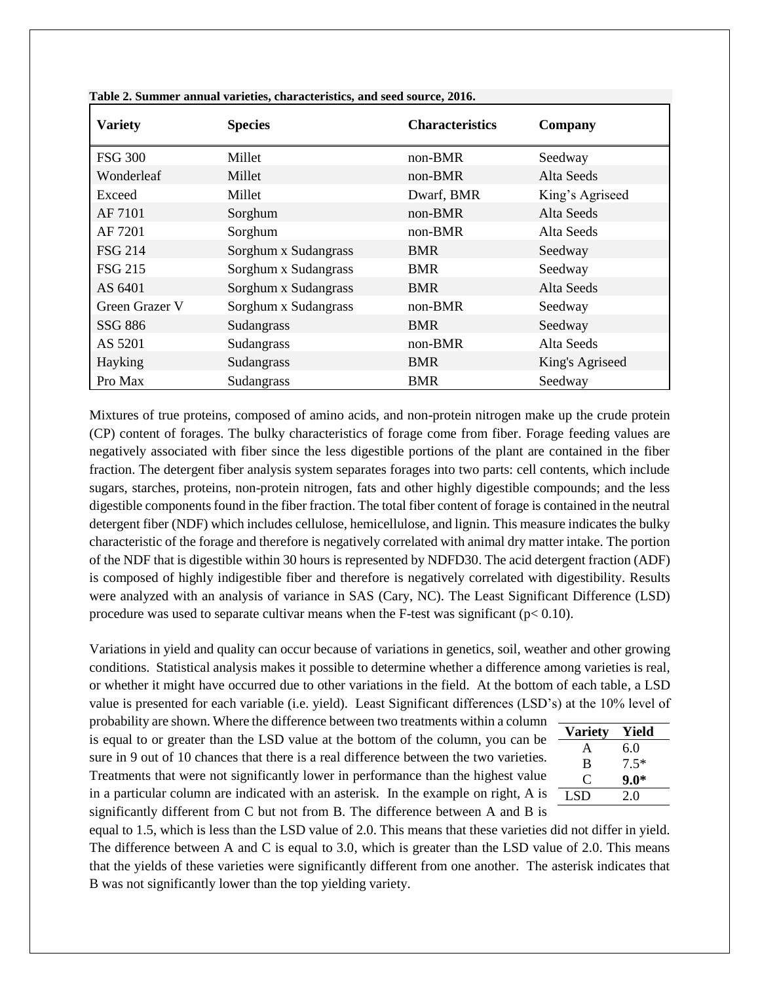| <b>Variety</b> | <b>Species</b>       | <b>Characteristics</b> | Company         |
|----------------|----------------------|------------------------|-----------------|
| <b>FSG 300</b> | Millet               | $non-BMR$              | Seedway         |
| Wonderleaf     | Millet               | $non-BMR$              | Alta Seeds      |
| Exceed         | Millet               | Dwarf, BMR             | King's Agriseed |
| AF 7101        | Sorghum              | $non-BMR$              | Alta Seeds      |
| AF 7201        | Sorghum              | $non-BMR$              | Alta Seeds      |
| <b>FSG 214</b> | Sorghum x Sudangrass | <b>BMR</b>             | Seedway         |
| <b>FSG 215</b> | Sorghum x Sudangrass | <b>BMR</b>             | Seedway         |
| AS 6401        | Sorghum x Sudangrass | <b>BMR</b>             | Alta Seeds      |
| Green Grazer V | Sorghum x Sudangrass | non-BMR                | Seedway         |
| <b>SSG 886</b> | Sudangrass           | <b>BMR</b>             | Seedway         |
| AS 5201        | Sudangrass           | $non-BMR$              | Alta Seeds      |
| Hayking        | Sudangrass           | <b>BMR</b>             | King's Agriseed |
| Pro Max        | Sudangrass           | <b>BMR</b>             | Seedway         |

**Table 2. Summer annual varieties, characteristics, and seed source, 2016.** 

Mixtures of true proteins, composed of amino acids, and non-protein nitrogen make up the crude protein (CP) content of forages. The bulky characteristics of forage come from fiber. Forage feeding values are negatively associated with fiber since the less digestible portions of the plant are contained in the fiber fraction. The detergent fiber analysis system separates forages into two parts: cell contents, which include sugars, starches, proteins, non-protein nitrogen, fats and other highly digestible compounds; and the less digestible components found in the fiber fraction. The total fiber content of forage is contained in the neutral detergent fiber (NDF) which includes cellulose, hemicellulose, and lignin. This measure indicates the bulky characteristic of the forage and therefore is negatively correlated with animal dry matter intake. The portion of the NDF that is digestible within 30 hours is represented by NDFD30. The acid detergent fraction (ADF) is composed of highly indigestible fiber and therefore is negatively correlated with digestibility. Results were analyzed with an analysis of variance in SAS (Cary, NC). The Least Significant Difference (LSD) procedure was used to separate cultivar means when the F-test was significant ( $p < 0.10$ ).

Variations in yield and quality can occur because of variations in genetics, soil, weather and other growing conditions. Statistical analysis makes it possible to determine whether a difference among varieties is real, or whether it might have occurred due to other variations in the field. At the bottom of each table, a LSD value is presented for each variable (i.e. yield). Least Significant differences (LSD's) at the 10% level of

probability are shown. Where the difference between two treatments within a column is equal to or greater than the LSD value at the bottom of the column, you can be sure in 9 out of 10 chances that there is a real difference between the two varieties. Treatments that were not significantly lower in performance than the highest value in a particular column are indicated with an asterisk. In the example on right, A is significantly different from C but not from B. The difference between A and B is

| <b>Variety</b> | Yield  |
|----------------|--------|
| A              | 6.0    |
| B              | $7.5*$ |
| $\mathfrak{g}$ | 9.0*   |
| LSD.           | 20     |
|                |        |

equal to 1.5, which is less than the LSD value of 2.0. This means that these varieties did not differ in yield. The difference between A and C is equal to 3.0, which is greater than the LSD value of 2.0. This means that the yields of these varieties were significantly different from one another. The asterisk indicates that B was not significantly lower than the top yielding variety.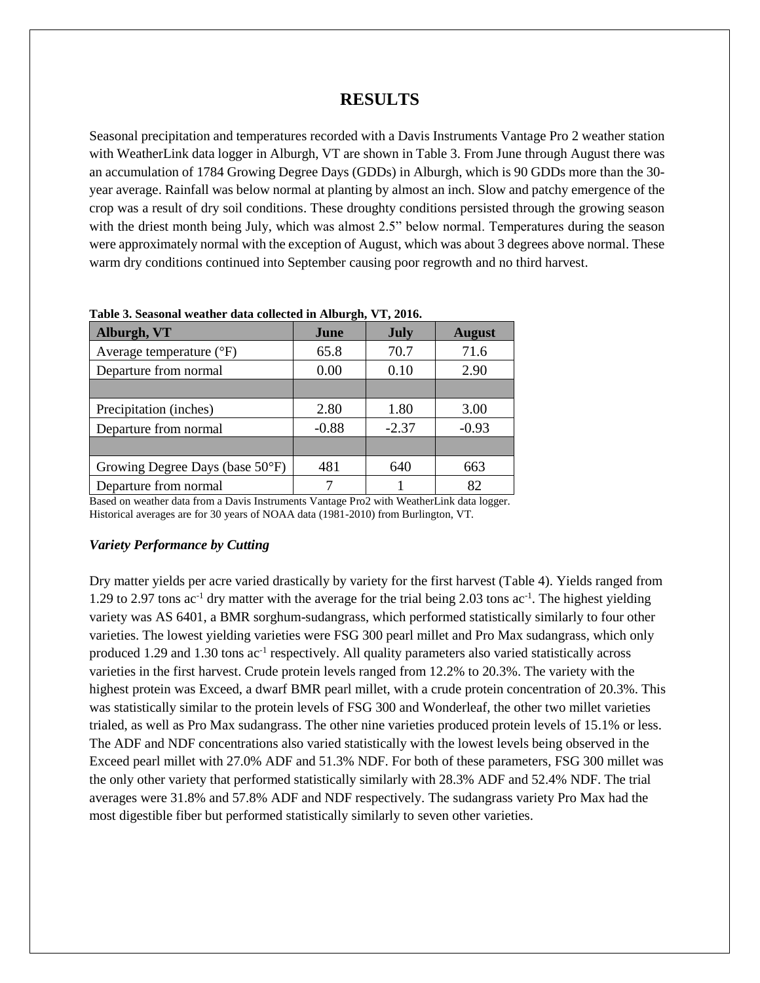## **RESULTS**

Seasonal precipitation and temperatures recorded with a Davis Instruments Vantage Pro 2 weather station with WeatherLink data logger in Alburgh, VT are shown in Table 3. From June through August there was an accumulation of 1784 Growing Degree Days (GDDs) in Alburgh, which is 90 GDDs more than the 30 year average. Rainfall was below normal at planting by almost an inch. Slow and patchy emergence of the crop was a result of dry soil conditions. These droughty conditions persisted through the growing season with the driest month being July, which was almost 2.5" below normal. Temperatures during the season were approximately normal with the exception of August, which was about 3 degrees above normal. These warm dry conditions continued into September causing poor regrowth and no third harvest.

| Alburgh, VT                       | June    | <b>July</b> | <b>August</b> |
|-----------------------------------|---------|-------------|---------------|
| Average temperature $(^{\circ}F)$ | 65.8    | 70.7        | 71.6          |
| Departure from normal             | 0.00    | 0.10        | 2.90          |
|                                   |         |             |               |
| Precipitation (inches)            | 2.80    | 1.80        | 3.00          |
| Departure from normal             | $-0.88$ | $-2.37$     | $-0.93$       |
|                                   |         |             |               |
| Growing Degree Days (base 50°F)   | 481     | 640         | 663           |
| Departure from normal             |         |             | 82            |

**Table 3. Seasonal weather data collected in Alburgh, VT, 2016.**

Based on weather data from a Davis Instruments Vantage Pro2 with WeatherLink data logger. Historical averages are for 30 years of NOAA data (1981-2010) from Burlington, VT.

#### *Variety Performance by Cutting*

Dry matter yields per acre varied drastically by variety for the first harvest (Table 4). Yields ranged from 1.29 to 2.97 tons  $ac^{-1}$  dry matter with the average for the trial being 2.03 tons  $ac^{-1}$ . The highest yielding variety was AS 6401, a BMR sorghum-sudangrass, which performed statistically similarly to four other varieties. The lowest yielding varieties were FSG 300 pearl millet and Pro Max sudangrass, which only produced 1.29 and 1.30 tons ac<sup>-1</sup> respectively. All quality parameters also varied statistically across varieties in the first harvest. Crude protein levels ranged from 12.2% to 20.3%. The variety with the highest protein was Exceed, a dwarf BMR pearl millet, with a crude protein concentration of 20.3%. This was statistically similar to the protein levels of FSG 300 and Wonderleaf, the other two millet varieties trialed, as well as Pro Max sudangrass. The other nine varieties produced protein levels of 15.1% or less. The ADF and NDF concentrations also varied statistically with the lowest levels being observed in the Exceed pearl millet with 27.0% ADF and 51.3% NDF. For both of these parameters, FSG 300 millet was the only other variety that performed statistically similarly with 28.3% ADF and 52.4% NDF. The trial averages were 31.8% and 57.8% ADF and NDF respectively. The sudangrass variety Pro Max had the most digestible fiber but performed statistically similarly to seven other varieties.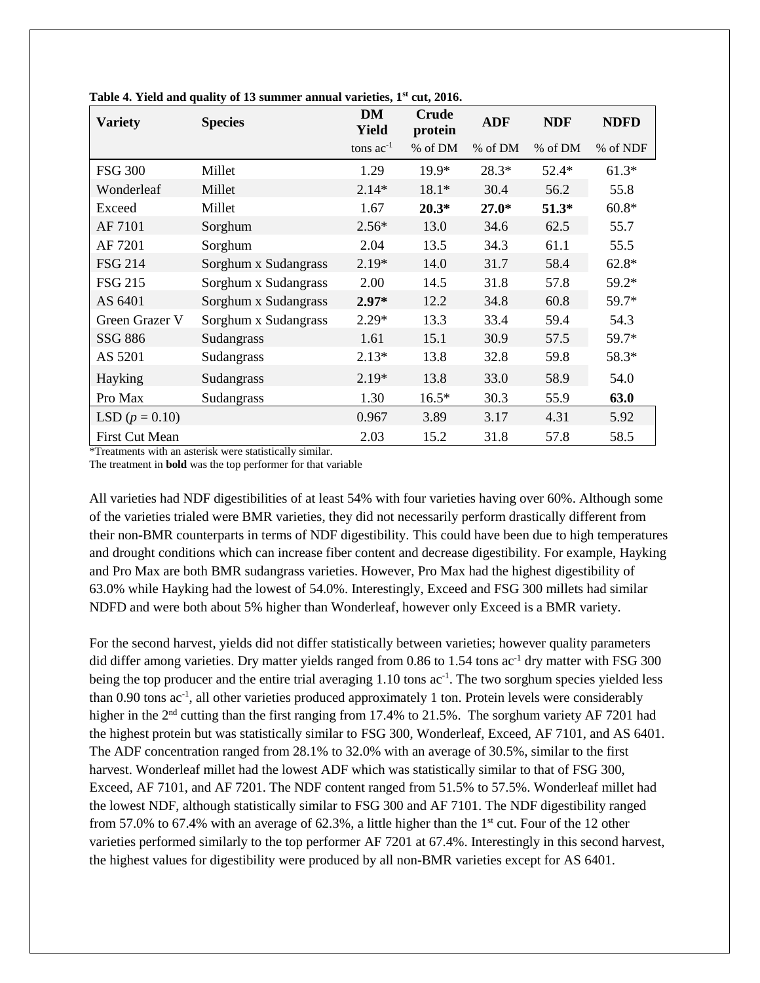| <b>Variety</b>        | <b>Species</b>       | <b>DM</b><br><b>Yield</b> | <b>Crude</b><br>protein | <b>ADF</b> | <b>NDF</b> | <b>NDFD</b> |
|-----------------------|----------------------|---------------------------|-------------------------|------------|------------|-------------|
|                       |                      | tons $ac^{-1}$            | % of DM                 | % of DM    | % of DM    | % of NDF    |
| <b>FSG 300</b>        | Millet               | 1.29                      | 19.9*                   | $28.3*$    | $52.4*$    | $61.3*$     |
| Wonderleaf            | Millet               | $2.14*$                   | $18.1*$                 | 30.4       | 56.2       | 55.8        |
| Exceed                | Millet               | 1.67                      | $20.3*$                 | $27.0*$    | $51.3*$    | $60.8*$     |
| AF 7101               | Sorghum              | $2.56*$                   | 13.0                    | 34.6       | 62.5       | 55.7        |
| AF 7201               | Sorghum              | 2.04                      | 13.5                    | 34.3       | 61.1       | 55.5        |
| <b>FSG 214</b>        | Sorghum x Sudangrass | $2.19*$                   | 14.0                    | 31.7       | 58.4       | $62.8*$     |
| <b>FSG 215</b>        | Sorghum x Sudangrass | 2.00                      | 14.5                    | 31.8       | 57.8       | 59.2*       |
| AS 6401               | Sorghum x Sudangrass | $2.97*$                   | 12.2                    | 34.8       | 60.8       | 59.7*       |
| Green Grazer V        | Sorghum x Sudangrass | $2.29*$                   | 13.3                    | 33.4       | 59.4       | 54.3        |
| SSG 886               | Sudangrass           | 1.61                      | 15.1                    | 30.9       | 57.5       | 59.7*       |
| AS 5201               | Sudangrass           | $2.13*$                   | 13.8                    | 32.8       | 59.8       | 58.3*       |
| Hayking               | Sudangrass           | $2.19*$                   | 13.8                    | 33.0       | 58.9       | 54.0        |
| Pro Max               | Sudangrass           | 1.30                      | $16.5*$                 | 30.3       | 55.9       | 63.0        |
| LSD $(p = 0.10)$      |                      | 0.967                     | 3.89                    | 3.17       | 4.31       | 5.92        |
| <b>First Cut Mean</b> |                      | 2.03                      | 15.2                    | 31.8       | 57.8       | 58.5        |

| Table 4. Yield and quality of 13 summer annual varieties, 1 <sup>st</sup> cut, 2016. |  |  |  |  |  |  |  |  |  |
|--------------------------------------------------------------------------------------|--|--|--|--|--|--|--|--|--|
|--------------------------------------------------------------------------------------|--|--|--|--|--|--|--|--|--|

\*Treatments with an asterisk were statistically similar.

The treatment in **bold** was the top performer for that variable

All varieties had NDF digestibilities of at least 54% with four varieties having over 60%. Although some of the varieties trialed were BMR varieties, they did not necessarily perform drastically different from their non-BMR counterparts in terms of NDF digestibility. This could have been due to high temperatures and drought conditions which can increase fiber content and decrease digestibility. For example, Hayking and Pro Max are both BMR sudangrass varieties. However, Pro Max had the highest digestibility of 63.0% while Hayking had the lowest of 54.0%. Interestingly, Exceed and FSG 300 millets had similar NDFD and were both about 5% higher than Wonderleaf, however only Exceed is a BMR variety.

For the second harvest, yields did not differ statistically between varieties; however quality parameters did differ among varieties. Dry matter yields ranged from 0.86 to 1.54 tons ac<sup>-1</sup> dry matter with FSG 300 being the top producer and the entire trial averaging 1.10 tons  $ac^{-1}$ . The two sorghum species yielded less than 0.90 tons ac<sup>-1</sup>, all other varieties produced approximately 1 ton. Protein levels were considerably higher in the 2<sup>nd</sup> cutting than the first ranging from 17.4% to 21.5%. The sorghum variety AF 7201 had the highest protein but was statistically similar to FSG 300, Wonderleaf, Exceed, AF 7101, and AS 6401. The ADF concentration ranged from 28.1% to 32.0% with an average of 30.5%, similar to the first harvest. Wonderleaf millet had the lowest ADF which was statistically similar to that of FSG 300, Exceed, AF 7101, and AF 7201. The NDF content ranged from 51.5% to 57.5%. Wonderleaf millet had the lowest NDF, although statistically similar to FSG 300 and AF 7101. The NDF digestibility ranged from 57.0% to 67.4% with an average of 62.3%, a little higher than the 1<sup>st</sup> cut. Four of the 12 other varieties performed similarly to the top performer AF 7201 at 67.4%. Interestingly in this second harvest, the highest values for digestibility were produced by all non-BMR varieties except for AS 6401.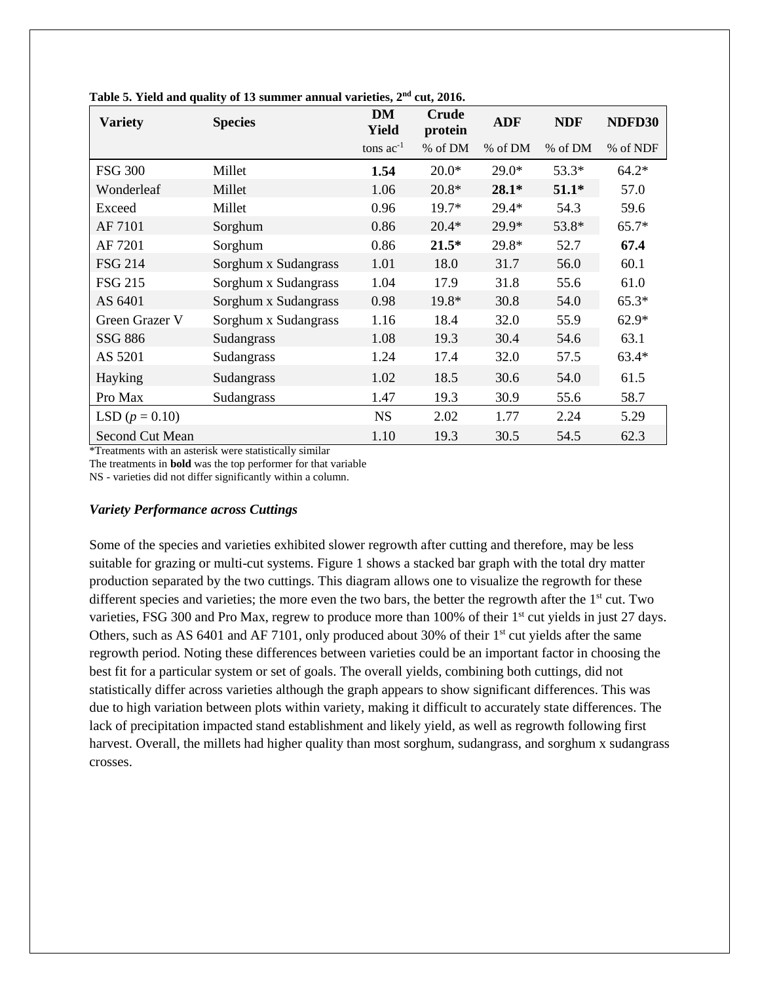| <b>Variety</b>   | <b>Species</b>       | <b>DM</b><br>Yield | Crude<br>protein | <b>ADF</b> | <b>NDF</b> | NDFD30   |
|------------------|----------------------|--------------------|------------------|------------|------------|----------|
|                  |                      | tons $ac^{-1}$     | % of DM          | % of DM    | % of DM    | % of NDF |
| <b>FSG 300</b>   | Millet               | 1.54               | $20.0*$          | $29.0*$    | 53.3*      | $64.2*$  |
| Wonderleaf       | Millet               | 1.06               | $20.8*$          | $28.1*$    | $51.1*$    | 57.0     |
| Exceed           | Millet               | 0.96               | 19.7*            | $29.4*$    | 54.3       | 59.6     |
| AF 7101          | Sorghum              | 0.86               | $20.4*$          | 29.9*      | 53.8*      | $65.7*$  |
| AF 7201          | Sorghum              | 0.86               | $21.5*$          | 29.8*      | 52.7       | 67.4     |
| <b>FSG 214</b>   | Sorghum x Sudangrass | 1.01               | 18.0             | 31.7       | 56.0       | 60.1     |
| <b>FSG 215</b>   | Sorghum x Sudangrass | 1.04               | 17.9             | 31.8       | 55.6       | 61.0     |
| AS 6401          | Sorghum x Sudangrass | 0.98               | 19.8*            | 30.8       | 54.0       | $65.3*$  |
| Green Grazer V   | Sorghum x Sudangrass | 1.16               | 18.4             | 32.0       | 55.9       | $62.9*$  |
| SSG 886          | Sudangrass           | 1.08               | 19.3             | 30.4       | 54.6       | 63.1     |
| AS 5201          | Sudangrass           | 1.24               | 17.4             | 32.0       | 57.5       | $63.4*$  |
| Hayking          | Sudangrass           | 1.02               | 18.5             | 30.6       | 54.0       | 61.5     |
| Pro Max          | Sudangrass           | 1.47               | 19.3             | 30.9       | 55.6       | 58.7     |
| LSD $(p = 0.10)$ |                      | <b>NS</b>          | 2.02             | 1.77       | 2.24       | 5.29     |
| Second Cut Mean  |                      | 1.10               | 19.3             | 30.5       | 54.5       | 62.3     |

|  | Table 5. Yield and quality of 13 summer annual varieties, 2 <sup>nd</sup> cut, 2016. |  |  |
|--|--------------------------------------------------------------------------------------|--|--|
|--|--------------------------------------------------------------------------------------|--|--|

\*Treatments with an asterisk were statistically similar

The treatments in **bold** was the top performer for that variable

NS - varieties did not differ significantly within a column.

#### *Variety Performance across Cuttings*

Some of the species and varieties exhibited slower regrowth after cutting and therefore, may be less suitable for grazing or multi-cut systems. Figure 1 shows a stacked bar graph with the total dry matter production separated by the two cuttings. This diagram allows one to visualize the regrowth for these different species and varieties; the more even the two bars, the better the regrowth after the 1<sup>st</sup> cut. Two varieties, FSG 300 and Pro Max, regrew to produce more than 100% of their 1<sup>st</sup> cut yields in just 27 days. Others, such as AS 6401 and AF 7101, only produced about 30% of their  $1<sup>st</sup>$  cut yields after the same regrowth period. Noting these differences between varieties could be an important factor in choosing the best fit for a particular system or set of goals. The overall yields, combining both cuttings, did not statistically differ across varieties although the graph appears to show significant differences. This was due to high variation between plots within variety, making it difficult to accurately state differences. The lack of precipitation impacted stand establishment and likely yield, as well as regrowth following first harvest. Overall, the millets had higher quality than most sorghum, sudangrass, and sorghum x sudangrass crosses.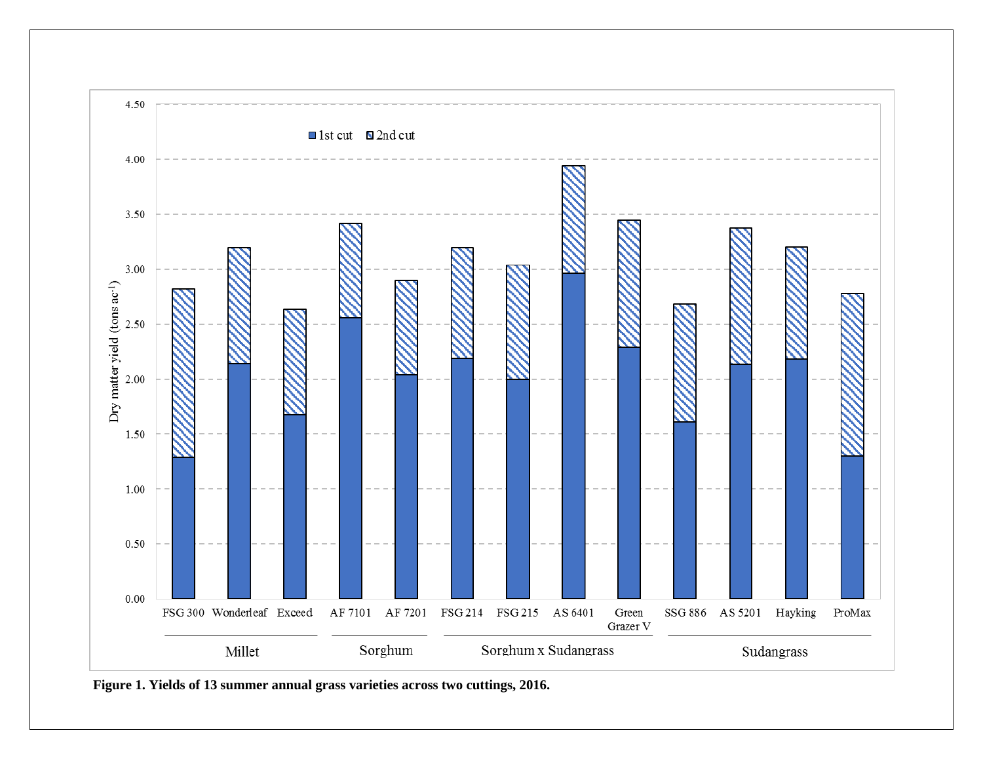

**Figure 1. Yields of 13 summer annual grass varieties across two cuttings, 2016.**